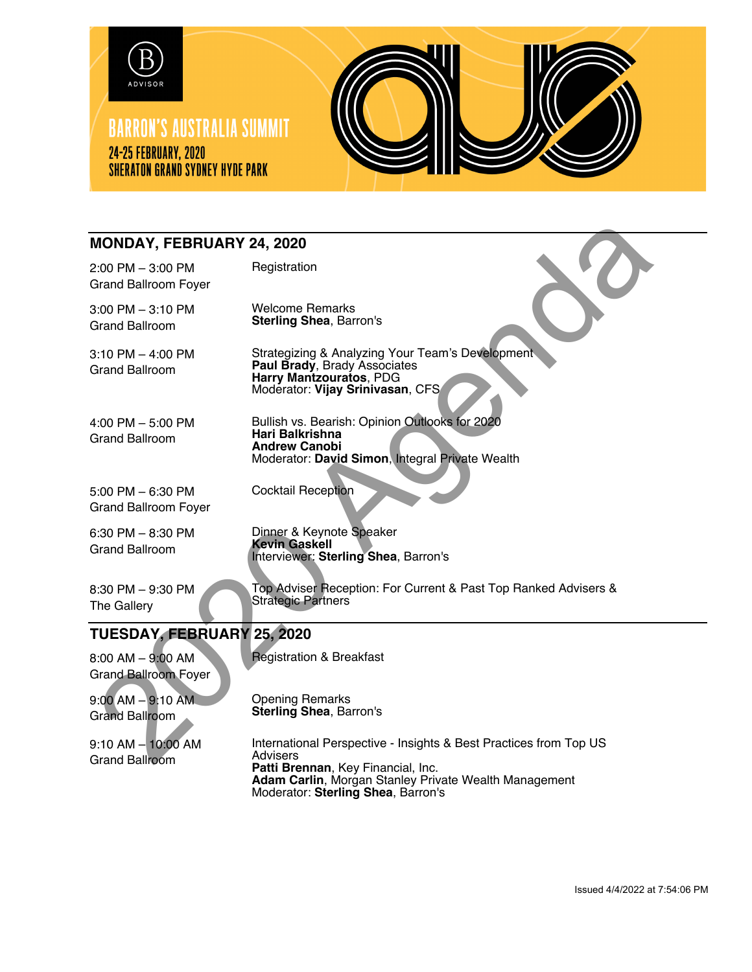

## **MONDAY, FEBRUARY 24, 2020**

| <b>MONDAY, FEBRUARY 24, 2020</b>                    |                                                                                                                                                 |
|-----------------------------------------------------|-------------------------------------------------------------------------------------------------------------------------------------------------|
| $2:00$ PM $-3:00$ PM<br><b>Grand Ballroom Foyer</b> | Registration                                                                                                                                    |
| $3:00$ PM $-3:10$ PM<br><b>Grand Ballroom</b>       | <b>Welcome Remarks</b><br><b>Sterling Shea, Barron's</b>                                                                                        |
| $3:10$ PM $-$ 4:00 PM<br><b>Grand Ballroom</b>      | Strategizing & Analyzing Your Team's Development<br>Paul Brady, Brady Associates<br>Harry Mantzouratos, PDG<br>Moderator: Vijay Srinivasan, CFS |
| 4:00 PM $-$ 5:00 PM<br><b>Grand Ballroom</b>        | Bullish vs. Bearish: Opinion Outlooks for 2020<br>Hari Balkrishna<br><b>Andrew Canobi</b><br>Moderator: David Simon, Integral Private Wealth    |
| $5:00$ PM $-6:30$ PM<br><b>Grand Ballroom Foyer</b> | <b>Cocktail Reception</b>                                                                                                                       |
| $6:30$ PM $- 8:30$ PM<br><b>Grand Ballroom</b>      | Dinner & Keynote Speaker<br><b>Kevin Gaskell</b><br>Interviewer: Sterling Shea, Barron's                                                        |
| 8:30 PM - 9:30 PM<br>The Gallery                    | Top Adviser Reception: For Current & Past Top Ranked Advisers &<br><b>Strategic Partners</b>                                                    |
| TUESDAY, FEBRUARY 25, 2020                          |                                                                                                                                                 |
| 8:00 AM - 9:00 AM<br><b>Grand Ballroom Foyer</b>    | <b>Registration &amp; Breakfast</b>                                                                                                             |
| $9:00$ AM $-9:10$ AM<br><b>Grand Ballroom</b>       | <b>Opening Remarks</b><br>Sterling Shea, Barron's                                                                                               |
| $9:10$ AM $-10:00$ AM<br><b>Grand Ballroom</b>      | International Perspective - Insights & Best Practices from Top US<br>Advisers<br>エストリー ロウエーション アンコーエンジン                                         |

Advisers **Patti Brennan**, Key Financial, Inc. **Adam Carlin**, Morgan Stanley Private Wealth Management Moderator: **Sterling Shea**, Barron's

Issued 4/4/2022 at 7:54:06 PM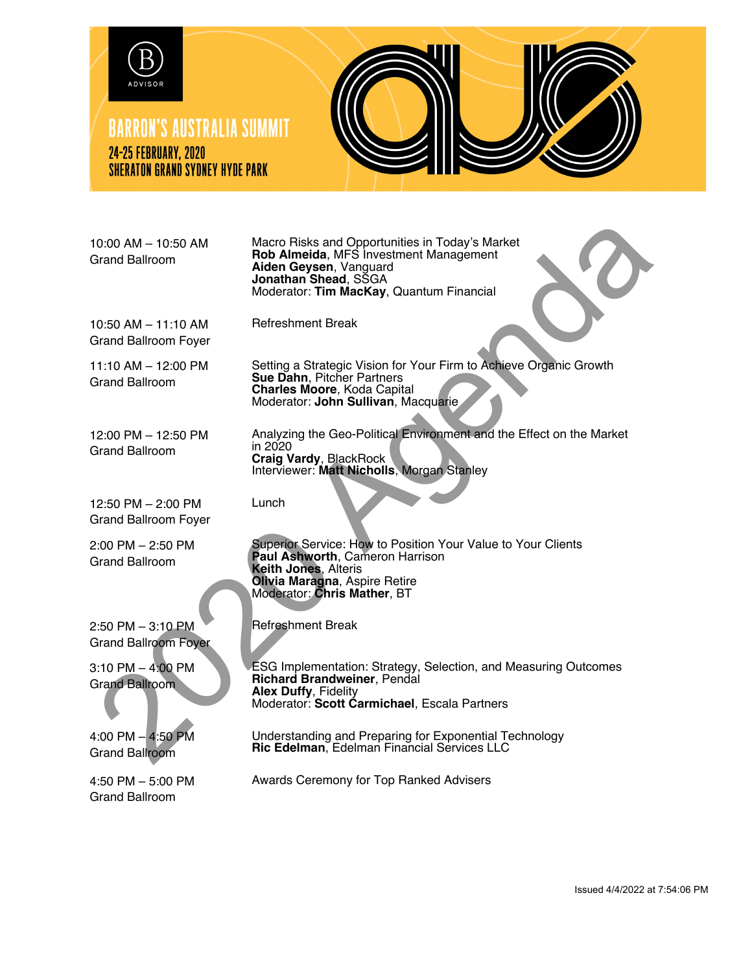

## **BARRON'S AUSTRALIA SUMMIT 24-25 FEBRUARY, 2020 SHERATON GRAND SYDNEY HYDE PARK**



10:00 AM – 10:50 AM Grand Ballroom

Macro Risks and Opportunities in Today's Market **Rob Almeida**, MFS Investment Management **Aiden Geysen**, Vanguard **Jonathan Shead**, SSGA Moderator: **Tim MacKay**, Quantum Financial

10:50 AM – 11:10 AM Grand Ballroom Foyer

11:10 AM – 12:00 PM Grand Ballroom

12:00 PM – 12:50 PM Grand Ballroom

12:50 PM – 2:00 PM Grand Ballroom Foyer

2:00 PM – 2:50 PM Grand Ballroom

 $2:50$  PM  $-3:10$  PM Grand Ballroom Foyer

3:10 PM – 4:00 PM Grand Ballroom

4:00 PM – 4:50 PM Grand Ballroom

4:50 PM – 5:00 PM Grand Ballroom

Setting a Strategic Vision for Your Firm to Achieve Organic Growth **Sue Dahn**, Pitcher Partners **Charles Moore**, Koda Capital Moderator: **John Sullivan**, Macquarie 10:00 AM - 10:50 AM Macro Risks and Opportunities in Today's Market<br>
Stand Ballroom<br>
Anden Geysen, Vanguard<br>
Moderator: Tim Macro Risks and Sugard<br>
Moderator: Tim Macro Risks and Divident Sugard<br>
10:50 AM - 11:10 AM<br>
11:10

Analyzing the Geo-Political Environment and the Effect on the Market in 2020 **Craig Vardy**, BlackRock Interviewer: **Matt Nicholls**, Morgan Stanley

Lunch

Superior Service: How to Position Your Value to Your Clients **Paul Ashworth**, Cameron Harrison **Keith Jones**, Alteris **Olivia Maragna**, Aspire Retire Moderator: **Chris Mather**, BT

Refreshment Break

Refreshment Break

ESG Implementation: Strategy, Selection, and Measuring Outcomes **Richard Brandweiner**, Pendal **Alex Duffy**, Fidelity Moderator: **Scott Carmichael**, Escala Partners

Understanding and Preparing for Exponential Technology **Ric Edelman**, Edelman Financial Services LLC

Awards Ceremony for Top Ranked Advisers

Issued 4/4/2022 at 7:54:06 PM